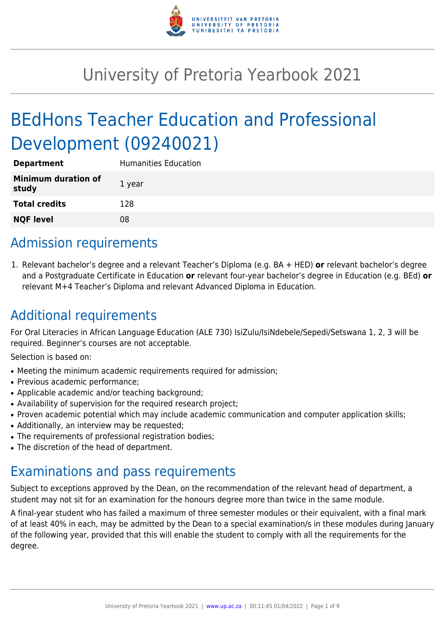

# University of Pretoria Yearbook 2021

# BEdHons Teacher Education and Professional Development (09240021)

| <b>Department</b>                   | <b>Humanities Education</b> |
|-------------------------------------|-----------------------------|
| <b>Minimum duration of</b><br>study | 1 year                      |
| <b>Total credits</b>                | 128                         |
| <b>NQF level</b>                    | 08                          |

# Admission requirements

1. Relevant bachelor's degree and a relevant Teacher's Diploma (e.g. BA + HED) **or** relevant bachelor's degree and a Postgraduate Certificate in Education **or** relevant four-year bachelor's degree in Education (e.g. BEd) **or** relevant M+4 Teacher's Diploma and relevant Advanced Diploma in Education.

# Additional requirements

For Oral Literacies in African Language Education (ALE 730) IsiZulu/IsiNdebele/Sepedi/Setswana 1, 2, 3 will be required. Beginner's courses are not acceptable.

Selection is based on:

- Meeting the minimum academic requirements required for admission;
- Previous academic performance:
- Applicable academic and/or teaching background;
- Availability of supervision for the required research project;
- Proven academic potential which may include academic communication and computer application skills;
- Additionally, an interview may be requested;
- The requirements of professional registration bodies;
- The discretion of the head of department.

# Examinations and pass requirements

Subject to exceptions approved by the Dean, on the recommendation of the relevant head of department, a student may not sit for an examination for the honours degree more than twice in the same module.

A final-year student who has failed a maximum of three semester modules or their equivalent, with a final mark of at least 40% in each, may be admitted by the Dean to a special examination/s in these modules during January of the following year, provided that this will enable the student to comply with all the requirements for the degree.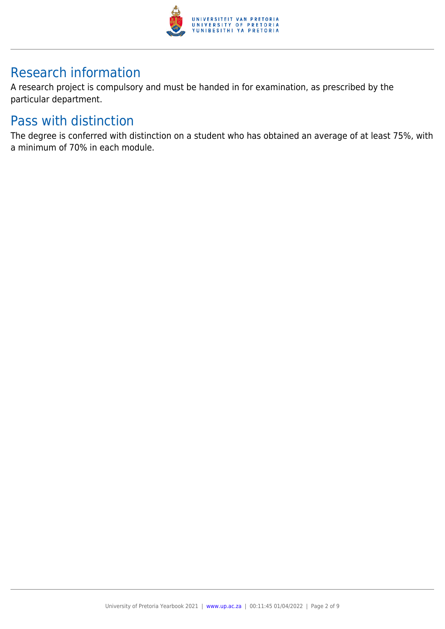

# Research information

A research project is compulsory and must be handed in for examination, as prescribed by the particular department.

# Pass with distinction

The degree is conferred with distinction on a student who has obtained an average of at least 75%, with a minimum of 70% in each module.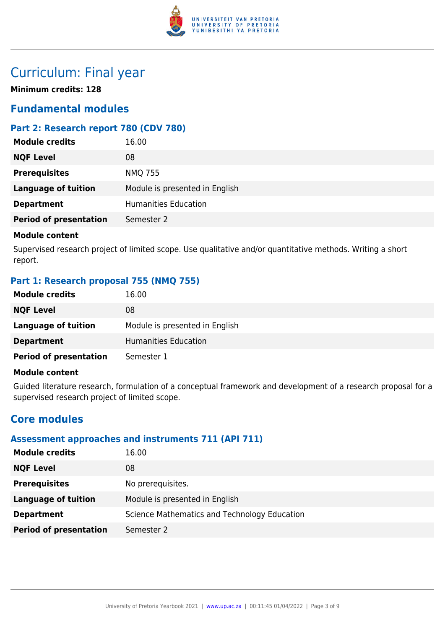

# Curriculum: Final year

**Minimum credits: 128**

# **Fundamental modules**

# **Part 2: Research report 780 (CDV 780)**

| <b>Module credits</b>         | 16.00                          |
|-------------------------------|--------------------------------|
| <b>NQF Level</b>              | 08                             |
| <b>Prerequisites</b>          | <b>NMQ 755</b>                 |
| <b>Language of tuition</b>    | Module is presented in English |
| <b>Department</b>             | <b>Humanities Education</b>    |
| <b>Period of presentation</b> | Semester 2                     |
|                               |                                |

#### **Module content**

Supervised research project of limited scope. Use qualitative and/or quantitative methods. Writing a short report.

## **Part 1: Research proposal 755 (NMQ 755)**

| <b>Module credits</b>         | 16.00                          |
|-------------------------------|--------------------------------|
| <b>NQF Level</b>              | 08                             |
| Language of tuition           | Module is presented in English |
| <b>Department</b>             | Humanities Education           |
| <b>Period of presentation</b> | Semester 1                     |

#### **Module content**

Guided literature research, formulation of a conceptual framework and development of a research proposal for a supervised research project of limited scope.

# **Core modules**

## **Assessment approaches and instruments 711 (API 711)**

| <b>Module credits</b>         | 16.00                                        |
|-------------------------------|----------------------------------------------|
| <b>NQF Level</b>              | 08                                           |
| <b>Prerequisites</b>          | No prerequisites.                            |
| Language of tuition           | Module is presented in English               |
| <b>Department</b>             | Science Mathematics and Technology Education |
| <b>Period of presentation</b> | Semester 2                                   |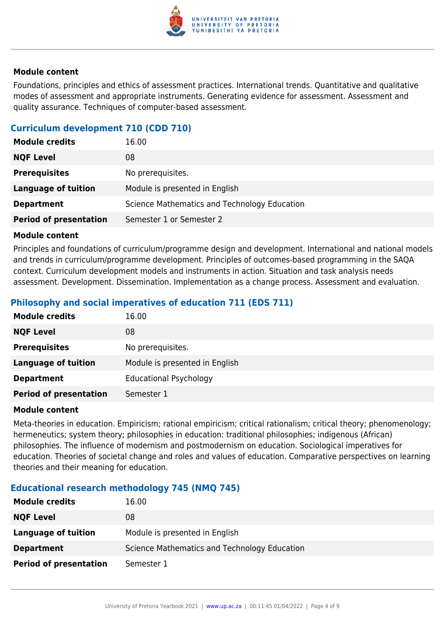

Foundations, principles and ethics of assessment practices. International trends. Quantitative and qualitative modes of assessment and appropriate instruments. Generating evidence for assessment. Assessment and quality assurance. Techniques of computer-based assessment.

## **Curriculum development 710 (CDD 710)**

| <b>Module credits</b>         | 16.00                                        |
|-------------------------------|----------------------------------------------|
| <b>NQF Level</b>              | 08                                           |
| <b>Prerequisites</b>          | No prerequisites.                            |
| <b>Language of tuition</b>    | Module is presented in English               |
| <b>Department</b>             | Science Mathematics and Technology Education |
| <b>Period of presentation</b> | Semester 1 or Semester 2                     |

#### **Module content**

Principles and foundations of curriculum/programme design and development. International and national models and trends in curriculum/programme development. Principles of outcomes-based programming in the SAQA context. Curriculum development models and instruments in action. Situation and task analysis needs assessment. Development. Dissemination. Implementation as a change process. Assessment and evaluation.

## **Philosophy and social imperatives of education 711 (EDS 711)**

| <b>Module credits</b>         | 16.00                          |
|-------------------------------|--------------------------------|
| <b>NQF Level</b>              | 08                             |
| <b>Prerequisites</b>          | No prerequisites.              |
| <b>Language of tuition</b>    | Module is presented in English |
| <b>Department</b>             | <b>Educational Psychology</b>  |
| <b>Period of presentation</b> | Semester 1                     |

#### **Module content**

Meta-theories in education. Empiricism; rational empiricism; critical rationalism; critical theory; phenomenology; hermeneutics; system theory; philosophies in education: traditional philosophies; indigenous (African) philosophies. The influence of modernism and postmodernism on education. Sociological imperatives for education. Theories of societal change and roles and values of education. Comparative perspectives on learning theories and their meaning for education.

#### **Educational research methodology 745 (NMQ 745)**

| <b>Module credits</b>         | 16.00                                        |
|-------------------------------|----------------------------------------------|
| <b>NQF Level</b>              | 08                                           |
| Language of tuition           | Module is presented in English               |
| <b>Department</b>             | Science Mathematics and Technology Education |
| <b>Period of presentation</b> | Semester 1                                   |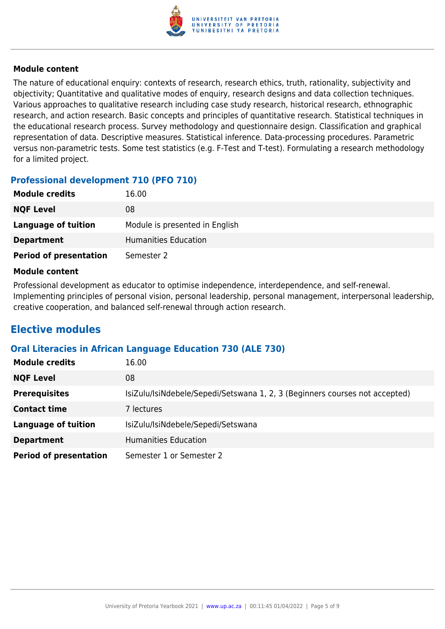

The nature of educational enquiry: contexts of research, research ethics, truth, rationality, subjectivity and objectivity; Quantitative and qualitative modes of enquiry, research designs and data collection techniques. Various approaches to qualitative research including case study research, historical research, ethnographic research, and action research. Basic concepts and principles of quantitative research. Statistical techniques in the educational research process. Survey methodology and questionnaire design. Classification and graphical representation of data. Descriptive measures. Statistical inference. Data-processing procedures. Parametric versus non-parametric tests. Some test statistics (e.g. F-Test and T-test). Formulating a research methodology for a limited project.

## **Professional development 710 (PFO 710)**

| <b>Module credits</b>         | 16.00                          |
|-------------------------------|--------------------------------|
| <b>NQF Level</b>              | 08                             |
| Language of tuition           | Module is presented in English |
| <b>Department</b>             | Humanities Education           |
| <b>Period of presentation</b> | Semester 2                     |

#### **Module content**

Professional development as educator to optimise independence, interdependence, and self-renewal. Implementing principles of personal vision, personal leadership, personal management, interpersonal leadership, creative cooperation, and balanced self-renewal through action research.

# **Elective modules**

#### **Oral Literacies in African Language Education 730 (ALE 730)**

| <b>Module credits</b>         | 16.00                                                                       |
|-------------------------------|-----------------------------------------------------------------------------|
| <b>NQF Level</b>              | 08                                                                          |
| <b>Prerequisites</b>          | IsiZulu/IsiNdebele/Sepedi/Setswana 1, 2, 3 (Beginners courses not accepted) |
| <b>Contact time</b>           | 7 lectures                                                                  |
| <b>Language of tuition</b>    | IsiZulu/IsiNdebele/Sepedi/Setswana                                          |
| <b>Department</b>             | <b>Humanities Education</b>                                                 |
| <b>Period of presentation</b> | Semester 1 or Semester 2                                                    |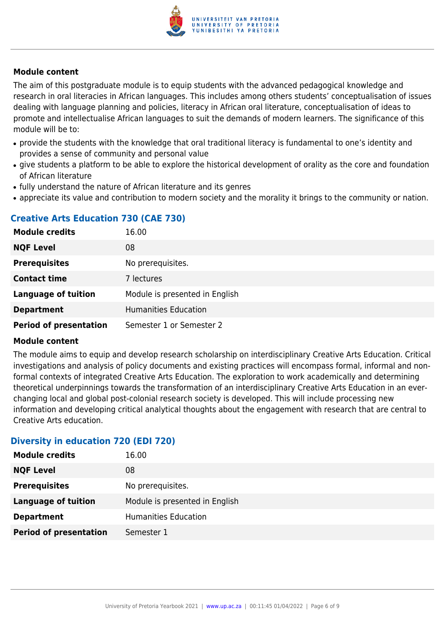

The aim of this postgraduate module is to equip students with the advanced pedagogical knowledge and research in oral literacies in African languages. This includes among others students' conceptualisation of issues dealing with language planning and policies, literacy in African oral literature, conceptualisation of ideas to promote and intellectualise African languages to suit the demands of modern learners. The significance of this module will be to:

- provide the students with the knowledge that oral traditional literacy is fundamental to one's identity and provides a sense of community and personal value
- give students a platform to be able to explore the historical development of orality as the core and foundation of African literature
- fully understand the nature of African literature and its genres
- appreciate its value and contribution to modern society and the morality it brings to the community or nation.

# **Creative Arts Education 730 (CAE 730)**

| <b>Module credits</b>         | 16.00                          |
|-------------------------------|--------------------------------|
| <b>NQF Level</b>              | 08                             |
| <b>Prerequisites</b>          | No prerequisites.              |
| <b>Contact time</b>           | 7 lectures                     |
| <b>Language of tuition</b>    | Module is presented in English |
| <b>Department</b>             | <b>Humanities Education</b>    |
| <b>Period of presentation</b> | Semester 1 or Semester 2       |

#### **Module content**

The module aims to equip and develop research scholarship on interdisciplinary Creative Arts Education. Critical investigations and analysis of policy documents and existing practices will encompass formal, informal and nonformal contexts of integrated Creative Arts Education. The exploration to work academically and determining theoretical underpinnings towards the transformation of an interdisciplinary Creative Arts Education in an everchanging local and global post-colonial research society is developed. This will include processing new information and developing critical analytical thoughts about the engagement with research that are central to Creative Arts education.

#### **Diversity in education 720 (EDI 720)**

| <b>Module credits</b>         | 16.00                          |
|-------------------------------|--------------------------------|
| <b>NQF Level</b>              | 08                             |
| <b>Prerequisites</b>          | No prerequisites.              |
| <b>Language of tuition</b>    | Module is presented in English |
| <b>Department</b>             | <b>Humanities Education</b>    |
| <b>Period of presentation</b> | Semester 1                     |
|                               |                                |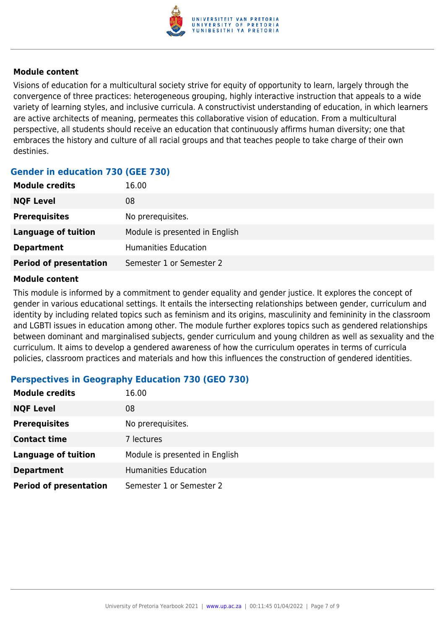

Visions of education for a multicultural society strive for equity of opportunity to learn, largely through the convergence of three practices: heterogeneous grouping, highly interactive instruction that appeals to a wide variety of learning styles, and inclusive curricula. A constructivist understanding of education, in which learners are active architects of meaning, permeates this collaborative vision of education. From a multicultural perspective, all students should receive an education that continuously affirms human diversity; one that embraces the history and culture of all racial groups and that teaches people to take charge of their own destinies.

# **Gender in education 730 (GEE 730)**

| <b>Module credits</b>         | 16.00                          |
|-------------------------------|--------------------------------|
| <b>NQF Level</b>              | 08                             |
| <b>Prerequisites</b>          | No prerequisites.              |
| Language of tuition           | Module is presented in English |
| <b>Department</b>             | <b>Humanities Education</b>    |
| <b>Period of presentation</b> | Semester 1 or Semester 2       |

#### **Module content**

This module is informed by a commitment to gender equality and gender justice. It explores the concept of gender in various educational settings. It entails the intersecting relationships between gender, curriculum and identity by including related topics such as feminism and its origins, masculinity and femininity in the classroom and LGBTI issues in education among other. The module further explores topics such as gendered relationships between dominant and marginalised subjects, gender curriculum and young children as well as sexuality and the curriculum. It aims to develop a gendered awareness of how the curriculum operates in terms of curricula policies, classroom practices and materials and how this influences the construction of gendered identities.

## **Perspectives in Geography Education 730 (GEO 730)**

| <b>Module credits</b>         | 16.00                          |
|-------------------------------|--------------------------------|
| <b>NQF Level</b>              | 08                             |
| <b>Prerequisites</b>          | No prerequisites.              |
| <b>Contact time</b>           | 7 lectures                     |
| <b>Language of tuition</b>    | Module is presented in English |
| <b>Department</b>             | <b>Humanities Education</b>    |
| <b>Period of presentation</b> | Semester 1 or Semester 2       |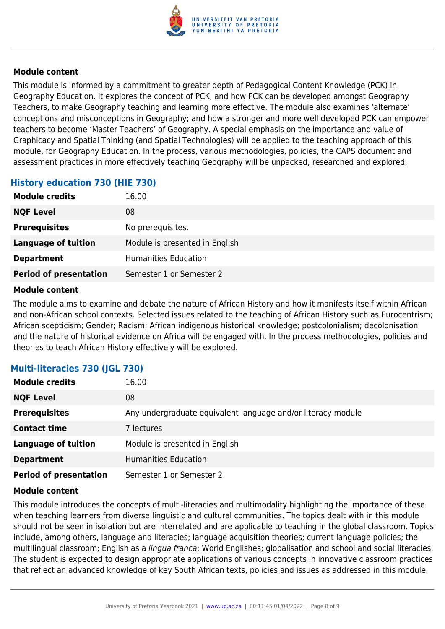

This module is informed by a commitment to greater depth of Pedagogical Content Knowledge (PCK) in Geography Education. It explores the concept of PCK, and how PCK can be developed amongst Geography Teachers, to make Geography teaching and learning more effective. The module also examines 'alternate' conceptions and misconceptions in Geography; and how a stronger and more well developed PCK can empower teachers to become 'Master Teachers' of Geography. A special emphasis on the importance and value of Graphicacy and Spatial Thinking (and Spatial Technologies) will be applied to the teaching approach of this module, for Geography Education. In the process, various methodologies, policies, the CAPS document and assessment practices in more effectively teaching Geography will be unpacked, researched and explored.

#### **History education 730 (HIE 730)**

| <b>Module credits</b>         | 16.00                          |
|-------------------------------|--------------------------------|
| <b>NQF Level</b>              | 08                             |
| <b>Prerequisites</b>          | No prerequisites.              |
| <b>Language of tuition</b>    | Module is presented in English |
| <b>Department</b>             | <b>Humanities Education</b>    |
| <b>Period of presentation</b> | Semester 1 or Semester 2       |

#### **Module content**

The module aims to examine and debate the nature of African History and how it manifests itself within African and non-African school contexts. Selected issues related to the teaching of African History such as Eurocentrism; African scepticism; Gender; Racism; African indigenous historical knowledge; postcolonialism; decolonisation and the nature of historical evidence on Africa will be engaged with. In the process methodologies, policies and theories to teach African History effectively will be explored.

## **Multi-literacies 730 (JGL 730)**

| <b>Module credits</b>         | 16.00                                                        |
|-------------------------------|--------------------------------------------------------------|
| <b>NQF Level</b>              | 08                                                           |
| <b>Prerequisites</b>          | Any undergraduate equivalent language and/or literacy module |
| <b>Contact time</b>           | 7 lectures                                                   |
| <b>Language of tuition</b>    | Module is presented in English                               |
| <b>Department</b>             | <b>Humanities Education</b>                                  |
| <b>Period of presentation</b> | Semester 1 or Semester 2                                     |

#### **Module content**

This module introduces the concepts of multi-literacies and multimodality highlighting the importance of these when teaching learners from diverse linguistic and cultural communities. The topics dealt with in this module should not be seen in isolation but are interrelated and are applicable to teaching in the global classroom. Topics include, among others, language and literacies; language acquisition theories; current language policies; the multilingual classroom; English as a lingua franca; World Englishes; globalisation and school and social literacies. The student is expected to design appropriate applications of various concepts in innovative classroom practices that reflect an advanced knowledge of key South African texts, policies and issues as addressed in this module.